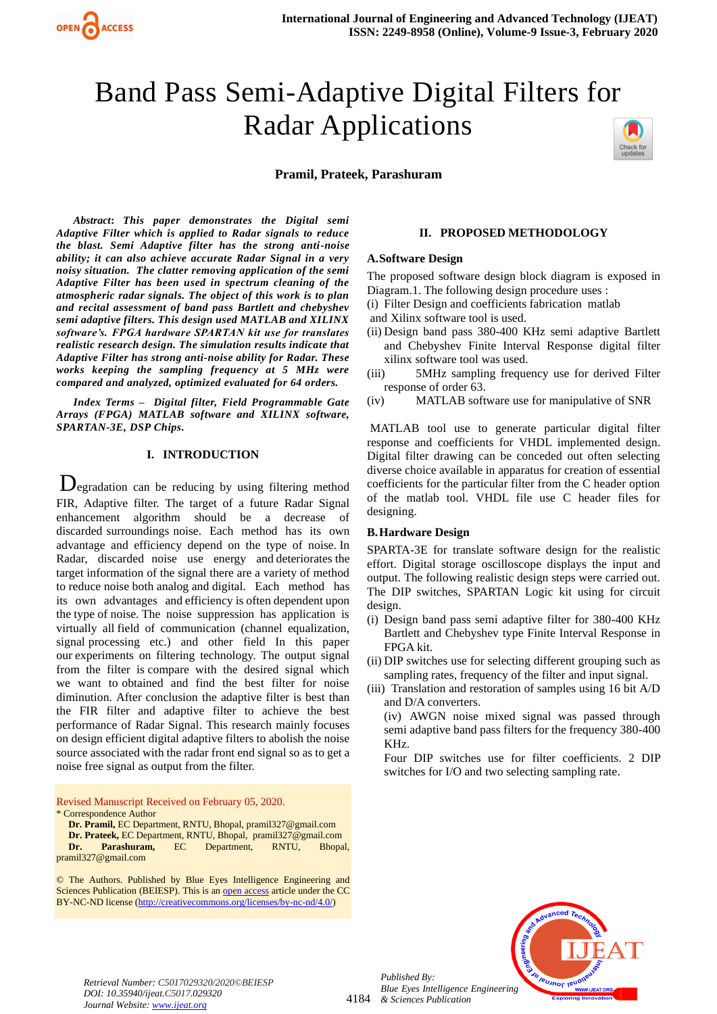

# Band Pass Semi-Adaptive Digital Filters for Radar Applications

**Pramil, Prateek, Parashuram**



*Abstract***:** *This paper demonstrates the Digital semi Adaptive Filter which is applied to Radar signals to reduce the blast. Semi Adaptive filter has the strong anti-noise ability; it can also achieve accurate Radar Signal in a very noisy situation. The clatter removing application of the semi Adaptive Filter has been used in spectrum cleaning of the atmospheric radar signals. The object of this work is to plan and recital assessment of band pass Bartlett and chebyshev semi adaptive filters. This design used MATLAB and XILINX software's. FPGA hardware SPARTAN kit use for translates realistic research design. The simulation results indicate that Adaptive Filter has strong anti-noise ability for Radar. These works keeping the sampling frequency at 5 MHz were compared and analyzed, optimized evaluated for 64 orders.* 

*Index Terms – Digital filter, Field Programmable Gate Arrays (FPGA) MATLAB software and XILINX software, SPARTAN-3E, DSP Chips.*

## **I. INTRODUCTION**

Degradation can be reducing by using filtering method FIR, Adaptive filter. The target of a future Radar Signal enhancement algorithm should be a decrease of discarded surroundings noise. Each method has its own advantage and efficiency depend on the type of noise. In Radar, discarded noise use energy and deteriorates the target information of the signal there are a variety of method to reduce noise both analog and digital. Each method has its own advantages and efficiency is often dependent upon the type of noise. The noise suppression has application is virtually all field of communication (channel equalization, signal processing etc.) and other field In this paper our experiments on filtering technology. The output signal from the filter is compare with the desired signal which we want to obtained and find the best filter for noise diminution. After conclusion the adaptive filter is best than the FIR filter and adaptive filter to achieve the best performance of Radar Signal. This research mainly focuses on design efficient digital adaptive filters to abolish the noise source associated with the radar front end signal so as to get a noise free signal as output from the filter.

Revised Manuscript Received on February 05, 2020. \* Correspondence Author

**Dr. Pramil,** EC Department, RNTU, Bhopal, pramil327@gmail.com

**Dr. Prateek,** EC Department, RNTU, Bhopal, pramil327@gmail.com **Dr. Parashuram,** EC Department, RNTU, Bhopal,

pramil327@gmail.com

© The Authors. Published by Blue Eyes Intelligence Engineering and Sciences Publication (BEIESP). This is a[n open access](https://www.openaccess.nl/en/open-publications) article under the CC BY-NC-ND license [\(http://creativecommons.org/licenses/by-nc-nd/4.0/\)](http://creativecommons.org/licenses/by-nc-nd/4.0/)

#### **II. PROPOSED METHODOLOGY**

#### **A.Software Design**

The proposed software design block diagram is exposed in Diagram.1. The following design procedure uses :

- (i) Filter Design and coefficients fabrication matlab
- and Xilinx software tool is used.
- (ii) Design band pass 380-400 KHz semi adaptive Bartlett and Chebyshev Finite Interval Response digital filter xilinx software tool was used.
- (iii) 5MHz sampling frequency use for derived Filter response of order 63.
- (iv) MATLAB software use for manipulative of SNR

MATLAB tool use to generate particular digital filter response and coefficients for VHDL implemented design. Digital filter drawing can be conceded out often selecting diverse choice available in apparatus for creation of essential coefficients for the particular filter from the C header option of the matlab tool. VHDL file use C header files for designing.

## **B.Hardware Design**

SPARTA-3E for translate software design for the realistic effort. Digital storage oscilloscope displays the input and output. The following realistic design steps were carried out. The DIP switches, SPARTAN Logic kit using for circuit design.

- (i) Design band pass semi adaptive filter for 380-400 KHz Bartlett and Chebyshev type Finite Interval Response in FPGA kit.
- (ii) DIP switches use for selecting different grouping such as sampling rates, frequency of the filter and input signal.
- (iii) Translation and restoration of samples using 16 bit A/D and D/A converters.

(iv) AWGN noise mixed signal was passed through semi adaptive band pass filters for the frequency 380-400 KHz.

Four DIP switches use for filter coefficients. 2 DIP switches for I/O and two selecting sampling rate.



*Retrieval Number: C5017029320/2020©BEIESP DOI: 10.35940/ijeat.C5017.029320 Journal Website[: www.ijeat.org](http://www.ijeat.org/)*

*Published By:*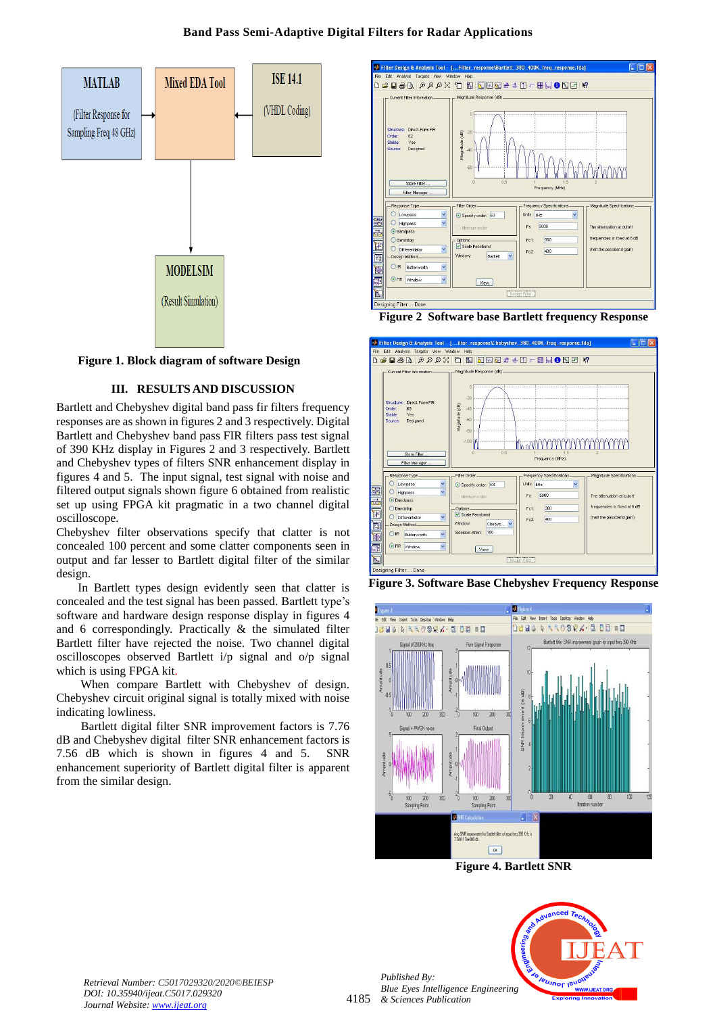## **Band Pass Semi-Adaptive Digital Filters for Radar Applications**



**Figure 1. Block diagram of software Design**

## **III. RESULTS AND DISCUSSION**

Bartlett and Chebyshev digital band pass fir filters frequency responses are as shown in figures 2 and 3 respectively. Digital Bartlett and Chebyshev band pass FIR filters pass test signal of 390 KHz display in Figures 2 and 3 respectively. Bartlett and Chebyshev types of filters SNR enhancement display in figures 4 and 5. The input signal, test signal with noise and filtered output signals shown figure 6 obtained from realistic set up using FPGA kit pragmatic in a two channel digital oscilloscope.

Chebyshev filter observations specify that clatter is not concealed 100 percent and some clatter components seen in output and far lesser to Bartlett digital filter of the similar design.

In Bartlett types design evidently seen that clatter is concealed and the test signal has been passed. Bartlett type's software and hardware design response display in figures 4 and 6 correspondingly. Practically & the simulated filter Bartlett filter have rejected the noise. Two channel digital oscilloscopes observed Bartlett i/p signal and o/p signal which is using FPGA kit.

When compare Bartlett with Chebyshev of design. Chebyshev circuit original signal is totally mixed with noise indicating lowliness.

Bartlett digital filter SNR improvement factors is 7.76 dB and Chebyshev digital filter SNR enhancement factors is 7.56 dB which is shown in figures 4 and 5. SNR enhancement superiority of Bartlett digital filter is apparent from the similar design.



**Figure 2 Software base Bartlett frequency Response**







**Figure 4. Bartlett SNR**



*Retrieval Number: C5017029320/2020©BEIESP DOI: 10.35940/ijeat.C5017.029320 Journal Website[: www.ijeat.org](http://www.ijeat.org/)*

4185 *& Sciences Publication Blue Eyes Intelligence Engineering* 

*Published By:*